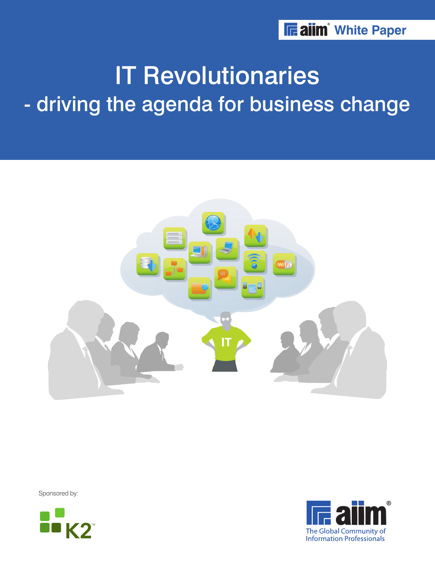# IT Revolutionaries - driving the agenda for business change



Sponsored by:



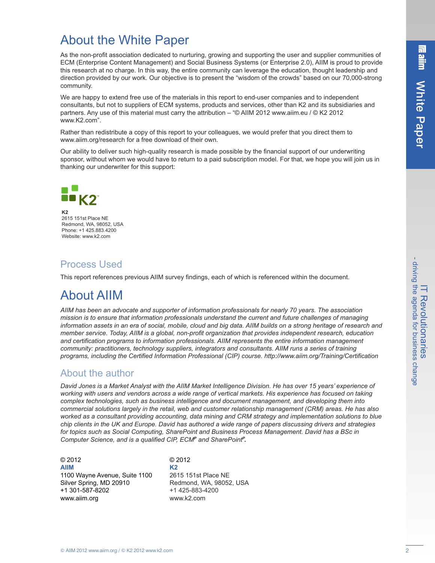# About the White Paper

As the non-profit association dedicated to nurturing, growing and supporting the user and supplier communities of ECM (Enterprise Content Management) and Social Business Systems (or Enterprise 2.0), AIIM is proud to provide this research at no charge. In this way, the entire community can leverage the education, thought leadership and direction provided by our work. Our objective is to present the "wisdom of the crowds" based on our 70,000-strong community.

We are happy to extend free use of the materials in this report to end-user companies and to independent consultants, but not to suppliers of ECM systems, products and services, other than K2 and its subsidiaries and partners. Any use of this material must carry the attribution – "© AIIM 2012 www.aiim.eu / © K2 2012 www.K2.com".

Rather than redistribute a copy of this report to your colleagues, we would prefer that you direct them to www.aiim.org/research for a free download of their own.

Our ability to deliver such high-quality research is made possible by the financial support of our underwriting sponsor, without whom we would have to return to a paid subscription model. For that, we hope you will join us in thanking our underwriter for this support:



**K2** 2615 151st Place NE Redmond, WA, 98052, USA Phone: +1 425.883.4200 Website: www.k2.com

### Process Used

This report references previous AIIM survey findings, each of which is referenced within the document.

# About AIIM

*AIIM has been an advocate and supporter of information professionals for nearly 70 years. The association mission is to ensure that information professionals understand the current and future challenges of managing* information assets in an era of social, mobile, cloud and big data. AllM builds on a strong heritage of research and *member service. Today, AIIM is a global, non-profit organization that provides independent research, education and certification programs to information professionals. AIIM represents the entire information management community: practitioners, technology suppliers, integrators and consultants. AIIM runs a series of training programs, including the Certified Information Professional (CIP) course. http://www.aiim.org/Training/Certification*

### About the author

David Jones is a Market Analyst with the AIIM Market Intelligence Division. He has over 15 years' experience of working with users and vendors across a wide range of vertical markets. His experience has focused on taking *complex technologies, such as business intelligence and document management, and developing them into commercial solutions largely in the retail, web and customer relationship management (CRM) areas. He has also worked as a consultant providing accounting, data mining and CRM strategy and implementation solutions to blue* chip clients in the UK and Europe. David has authored a wide range of papers discussing drivers and strategies *for topics such as Social Computing, SharePoint and Business Process Management. David has a BSc in Computer Science, and is a qualified CIP, ECM<sup>P</sup> and SharePoint P .*

© 2012 © 2012 **AIIM K2** 1100 Wayne Avenue, Suite 1100 2615 151st Place NE Silver Spring, MD 20910 Redmond, WA, 98052, USA +1 301-587-8202 +1 425-883-4200 www.aiim.org www.k2.com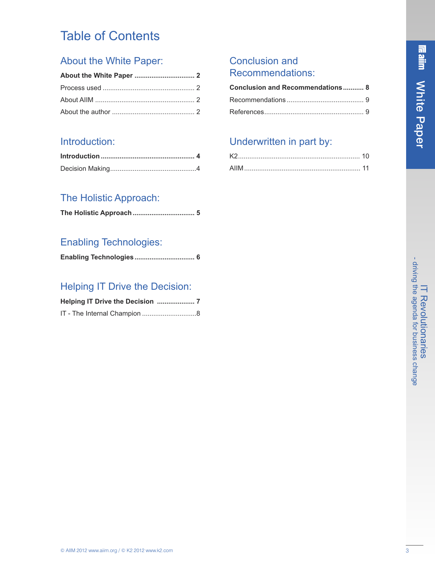# Table of Contents

# About the White Paper:

# Introduction:

# The Holistic Approach:

## Enabling Technologies:

|  | Enabling Technologies 6 |
|--|-------------------------|
|--|-------------------------|

# Helping IT Drive the Decision:

### Conclusion and Recommendations:

| Conclusion and Recommendations 8 |  |
|----------------------------------|--|
|                                  |  |
|                                  |  |

# Underwritten in part by: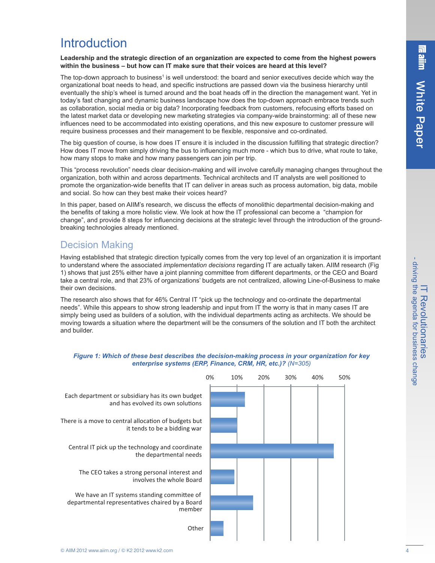# **Introduction**

**Leadership and the strategic direction of an organization are expected to come from the highest powers within the business – but how can IT make sure that their voices are heard at this level?**

The top-down approach to business<sup>1</sup> is well understood: the board and senior executives decide which way the organizational boat needs to head, and specific instructions are passed down via the business hierarchy until eventually the ship's wheel is turned around and the boat heads off in the direction the management want. Yet in today's fast changing and dynamic business landscape how does the top-down approach embrace trends such as collaboration, social media or big data? Incorporating feedback from customers, refocusing efforts based on the latest market data or developing new marketing strategies via company-wide brainstorming: all of these new influences need to be accommodated into existing operations, and this new exposure to customer pressure will require business processes and their management to be flexible, responsive and co-ordinated.

The big question of course, is how does IT ensure it is included in the discussion fulfilling that strategic direction? How does IT move from simply driving the bus to influencing much more - which bus to drive, what route to take, how many stops to make and how many passengers can join per trip.

This "process revolution" needs clear decision-making and will involve carefully managing changes throughout the organization, both within and across departments. Technical architects and IT analysts are well positioned to promote the organization-wide benefits that IT can deliver in areas such as process automation, big data, mobile and social. So how can they best make their voices heard?

In this paper, based on AIIM's research, we discuss the effects of monolithic departmental decision-making and the benefits of taking a more holistic view. We look at how the IT professional can become a "champion for change", and provide 8 steps for influencing decisions at the strategic level through the introduction of the groundbreaking technologies already mentioned.

### Decision Making

Having established that strategic direction typically comes from the very top level of an organization it is important to understand where the associated *implementation decisions* regarding IT are actually taken. AIIM research (Fig 1) shows that just 25% either have a joint planning committee from different departments, or the CEO and Board take a central role, and that 23% of organizations' budgets are not centralized, allowing Line-of-Business to make their own decisions.

The research also shows that for 46% Central IT "pick up the technology and co-ordinate the departmental needs". While this appears to show strong leadership and input from IT the worry is that in many cases IT are simply being used as builders of a solution, with the individual departments acting as architects. We should be moving towards a situation where the department will be the consumers of the solution and IT both the architect and builder.



#### *Figure 1: Which of these best describes the decision-making process in your organization for key enterprise systems (ERP, Finance, CRM, HR, etc.)? (N=305)*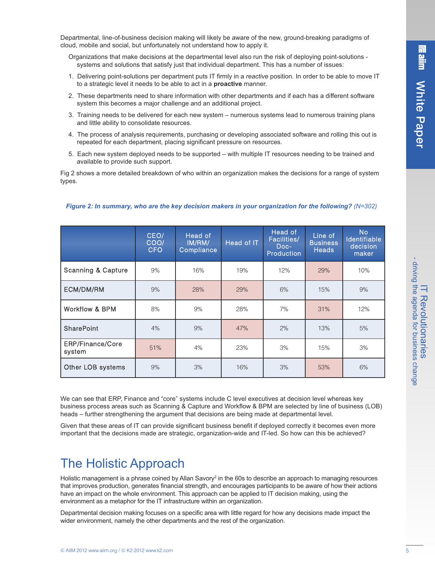Departmental, line-of-business decision making will likely be aware of the new, ground-breaking paradigms of cloud, mobile and social, but unfortunately not understand how to apply it.

- Organizations that make decisions at the departmental level also run the risk of deploying point-solutions systems and solutions that satisfy just that individual department. This has a number of issues:
- 1. Delivering point-solutions per department puts IT firmly in a *reactive* position. In order to be able to move IT to a strategic level it needs to be able to act in a **proactive** manner.
- 2. These departments need to share information with other departments and if each has a different software system this becomes a major challenge and an additional project.
- 3. Training needs to be delivered for each new system numerous systems lead to numerous training plans and little ability to consolidate resources.
- 4. The process of analysis requirements, purchasing or developing associated software and rolling this out is repeated for each department, placing significant pressure on resources.
- 5. Each new system deployed needs to be supported with multiple IT resources needing to be trained and available to provide such support.

Fig 2 shows a more detailed breakdown of who within an organization makes the decisions for a range of system types.

|                               | CEO/<br>COO/<br><b>CFO</b> | Head of<br>IM/RM/<br>Compliance | Head of IT | Head of<br>Facilities/<br>Doc-<br>Production | Line of<br><b>Business</b><br><b>Heads</b> | <b>No</b><br>Identifiable<br>decision<br>maker |
|-------------------------------|----------------------------|---------------------------------|------------|----------------------------------------------|--------------------------------------------|------------------------------------------------|
| <b>Scanning &amp; Capture</b> | 9%                         | 16%                             | 19%        | 12%                                          | 29%                                        | 10%                                            |
| ECM/DM/RM                     | 9%                         | 28%                             | 29%        | 6%                                           | 15%                                        | 9%                                             |
| Workflow & BPM                | 8%                         | 9%                              | 28%        | 7%                                           | 31%                                        | 12%                                            |
| <b>SharePoint</b>             | 4%                         | 9%                              | 47%        | 2%                                           | 13%                                        | 5%                                             |
| ERP/Finance/Core<br>system    | 51%                        | 4%                              | 23%        | 3%                                           | 15%                                        | 3%                                             |
| Other LOB systems             | 9%                         | 3%                              | 16%        | 3%                                           | 53%                                        | 6%                                             |

*Figure 2: In summary, who are the key decision makers in your organization for the following? (N=302)*

We can see that ERP, Finance and "core" systems include C level executives at decision level whereas key business process areas such as Scanning & Capture and Workflow & BPM are selected by line of business (LOB) heads – further strengthening the argument that decisions are being made at departmental level.

Given that these areas of IT can provide significant business benefit if deployed correctly it becomes even more important that the decisions made are strategic, organization-wide and IT-led. So how can this be achieved?

# The Holistic Approach

Holistic management is a phrase coined by Allan Savory $\alpha$  in the 60s to describe an approach to managing resources that improves production, generates financial strength, and encourages participants to be aware of how their actions have an impact on the whole environment. This approach can be applied to IT decision making, using the environment as a metaphor for the IT infrastructure within an organization.

Departmental decision making focuses on a specific area with little regard for how any decisions made impact the wider environment, namely the other departments and the rest of the organization.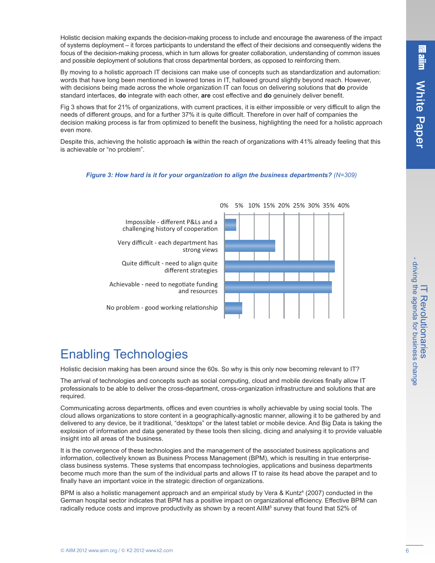Holistic decision making expands the decision-making process to include and encourage the awareness of the impact of systems deployment – it forces participants to understand the effect of their decisions and consequently widens the focus of the decision-making process, which in turn allows for greater collaboration, understanding of common issues and possible deployment of solutions that cross departmental borders, as opposed to reinforcing them.

By moving to a holistic approach IT decisions can make use of concepts such as standardization and automation: words that have long been mentioned in lowered tones in IT, hallowed ground slightly beyond reach. However, with decisions being made across the whole organization IT can focus on delivering solutions that **do** provide standard interfaces, **do** integrate with each other, **are** cost effective and **do** genuinely deliver benefit.

Fig 3 shows that for 21% of organizations, with current practices, it is either impossible or very difficult to align the needs of different groups, and for a further 37% it is quite difficult. Therefore in over half of companies the decision making process is far from optimized to benefit the business, highlighting the need for a holistic approach even more.

Despite this, achieving the holistic approach **is** within the reach of organizations with 41% already feeling that this is achievable or "no problem".

#### *Figure 3: How hard is it for your organization to align the business departments? (N=309)*



Impossible - different P&Ls and a challenging history of cooperation Very difficult - each department has

strong views Quite difficult - need to align quite

different strategies

Achievable - need to negotiate funding and resources

No problem - good working relationship

# Enabling Technologies

Holistic decision making has been around since the 60s. So why is this only now becoming relevant to IT?

The arrival of technologies and concepts such as social computing, cloud and mobile devices finally allow IT professionals to be able to deliver the cross-department, cross-organization infrastructure and solutions that are required.

Communicating across departments, offices and even countries is wholly achievable by using social tools. The cloud allows organizations to store content in a geographically-agnostic manner, allowing it to be gathered by and delivered to any device, be it traditional, "desktops" or the latest tablet or mobile device. And Big Data is taking the explosion of information and data generated by these tools then slicing, dicing and analysing it to provide valuable insight into all areas of the business.

It is the convergence of these technologies and the management of the associated business applications and information, collectively known as Business Process Management (BPM), which is resulting in true enterpriseclass business systems. These systems that encompass technologies, applications and business departments become much more than the sum of the individual parts and allows IT to raise its head above the parapet and to finally have an important voice in the strategic direction of organizations.

BPM is also a holistic management approach and an empirical study by Vera & Kuntz<sup>4</sup> (2007) conducted in the German hospital sector indicates that BPM has a positive impact on organizational efficiency. Effective BPM can radically reduce costs and improve productivity as shown by a recent AIIM<sup>5</sup> survey that found that 52% of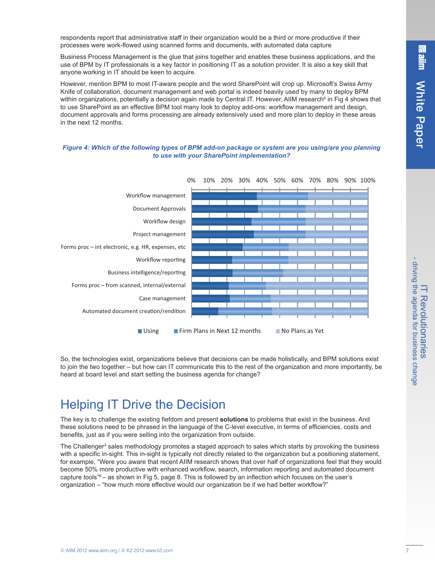respondents report that administrative staff in their organization would be a third or more productive if their processes were work-flowed using scanned forms and documents, with automated data capture

Business Process Management is the glue that joins together and enables these business applications, and the use of BPM by IT professionals is a key factor in positioning IT as a solution provider. It is also a key skill that anyone working in IT should be keen to acquire.

However, mention BPM to most IT-aware people and the word SharePoint will crop up. Microsoft's Swiss Army Knife of collaboration, document management and web portal is indeed heavily used by many to deploy BPM within organizations, potentially a decision again made by Central IT. However, AIIM research<sup>6</sup> in Fig 4 shows that to use SharePoint as an effective BPM tool many look to deploy add-ons: workflow management and design, document approvals and forms processing are already extensively used and more plan to deploy in these areas in the next 12 months.

#### Figure 4: Which of the following types of BPM add-on package or system are you using/are you planning *to use with your SharePoint implementation?*



So, the technologies exist, organizations believe that decisions can be made holistically, and BPM solutions exist to join the two together – but how can IT communicate this to the rest of the organization and more importantly, be heard at board level and start setting the business agenda for change?

# Helping IT Drive the Decision

The key is to challenge the existing fiefdom and present **solutions** to problems that exist in the business. And these solutions need to be phrased in the language of the C-level executive, in terms of efficiencies, costs and benefits, just as if you were selling into the organization from outside.

The Challenger <sup>3</sup> sales methodology promotes a staged approach to sales which starts by provoking the business with a specific in-sight. This in-sight is typically not directly related to the organization but a positioning statement, for example, "Were you aware that recent AIIM research shows that over half of organizations feel that they would become 50% more productive with enhanced workflow, search, information reporting and automated document capture tools" <sup>6</sup> – as shown in Fig 5, page 8. This is followed by an inflection which focuses on the user's organization – "how much more effective would our organization be if we had better workflow?"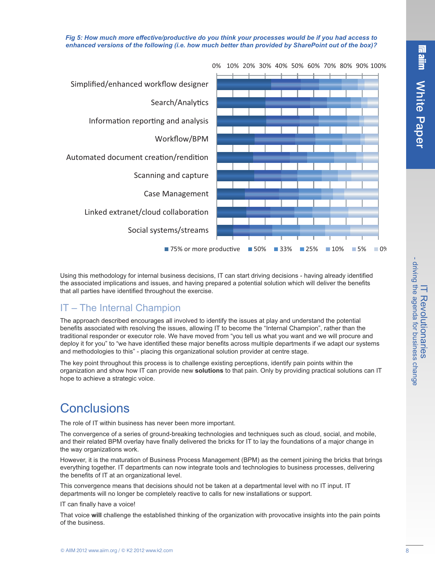Fig 5: How much more effective/productive do you think your processes would be if you had access to *enhanced versions of the following (i.e. how much better than provided by SharePoint out of the box)?*



Using this methodology for internal business decisions, IT can start driving decisions - having already identified the associated implications and issues, and having prepared a potential solution which will deliver the benefits that all parties have identified throughout the exercise.

### IT – The Internal Champion

The approach described encourages all involved to identify the issues at play and understand the potential benefits associated with resolving the issues, allowing IT to become the "Internal Champion", rather than the traditional responder or executor role. We have moved from "you tell us what you want and we will procure and deploy it for you" to "we have identified these major benefits across multiple departments if we adapt our systems and methodologies to this" - placing this organizational solution provider at centre stage.

The key point throughout this process is to challenge existing perceptions, identify pain points within the organization and show how IT can provide new **solutions** to that pain. Only by providing practical solutions can IT hope to achieve a strategic voice.

# **Conclusions**

The role of IT within business has never been more important.

The convergence of a series of ground-breaking technologies and techniques such as cloud, social, and mobile, and their related BPM overlay have finally delivered the bricks for IT to lay the foundations of a major change in the way organizations work.

However, it is the maturation of Business Process Management (BPM) as the cement joining the bricks that brings everything together. IT departments can now integrate tools and technologies to business processes, delivering the benefits of IT at an organizational level.

This convergence means that decisions should not be taken at a departmental level with no IT input. IT departments will no longer be completely reactive to calls for new installations or support.

IT can finally have a voice!

That voice **will** challenge the established thinking of the organization with provocative insights into the pain points of the business.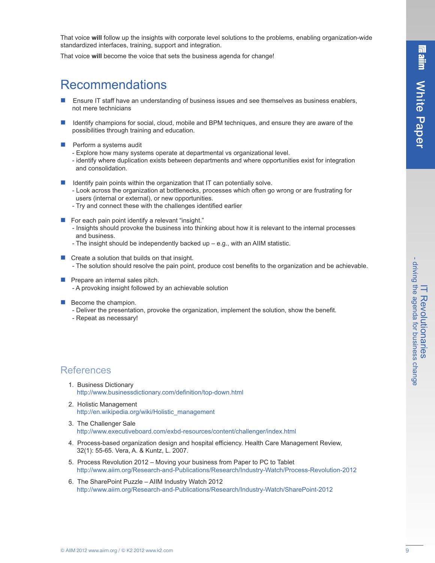$\equiv$ Revolutionarie II\_Revolutionaries><br>- driving the agenda for business a g enda for business chang e

That voice **will** follow up the insights with corporate level solutions to the problems, enabling organization-wide standardized interfaces, training, support and integration.

That voice **will** become the voice that sets the business agenda for change!

# Recommendations

- Ensure IT staff have an understanding of business issues and see themselves as business enablers, not mere technicians
- **n** Identify champions for social, cloud, mobile and BPM techniques, and ensure they are aware of the possibilities through training and education.
- Perform a systems audit
	- Explore how many systems operate at departmental vs organizational level.
	- identify where duplication exists between departments and where opportunities exist for integration and consolidation.
- $\blacksquare$  Identify pain points within the organization that IT can potentially solve.
	- Look across the organization at bottlenecks, processes which often go wrong or are frustrating for users (internal or external), or new opportunities.
	- Try and connect these with the challenges identified earlier
- $\blacksquare$  For each pain point identify a relevant "insight."
	- Insights should provoke the business into thinking about how it is relevant to the internal processes and business.
	- The insight should be independently backed up e.g., with an AIIM statistic.
- $\blacksquare$  Create a solution that builds on that insight. - The solution should resolve the pain point, produce cost benefits to the organization and be achievable.
- $\blacksquare$  Prepare an internal sales pitch.
	- A provoking insight followed by an achievable solution
- $\blacksquare$  Become the champion.
	- Deliver the presentation, provoke the organization, implement the solution, show the benefit.
	- Repeat as necessary!

### **References**

- 1. Business Dictionary http://www.businessdictionary.com/definition/top-down.html
- 2. Holistic Management http://en.wikipedia.org/wiki/Holistic\_management
- 3. The Challenger Sale http://www.executiveboard.com/exbd-resources/content/challenger/index.html
- 4. Process-based organization design and hospital efficiency. Health Care Management Review, 32(1): 55-65. Vera, A. & Kuntz, L. 2007.
- 5. Process Revolution 2012 Moving your business from Paper to PC to Tablet http://www.aiim.org/Research-and-Publications/Research/Industry-Watch/Process-Revolution-2012
- 6. The SharePoint Puzzle AIIM Industry Watch 2012 http://www.aiim.org/Research-and-Publications/Research/Industry-Watch/SharePoint-2012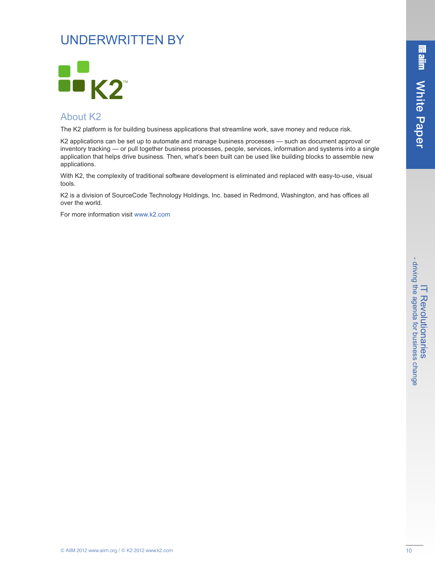# UNDERWRITTEN BY



### About K2

The K2 platform is for building business applications that streamline work, save money and reduce risk.

K2 applications can be set up to automate and manage business processes — such as document approval or inventory tracking — or pull together business processes, people, services, information and systems into a single application that helps drive business. Then, what's been built can be used like building blocks to assemble new applications.

With K2, the complexity of traditional software development is eliminated and replaced with easy-to-use, visual tools.

K2 is a division of SourceCode Technology Holdings, Inc. based in Redmond, Washington, and has offices all over the world.

For more information visit www.k2.com